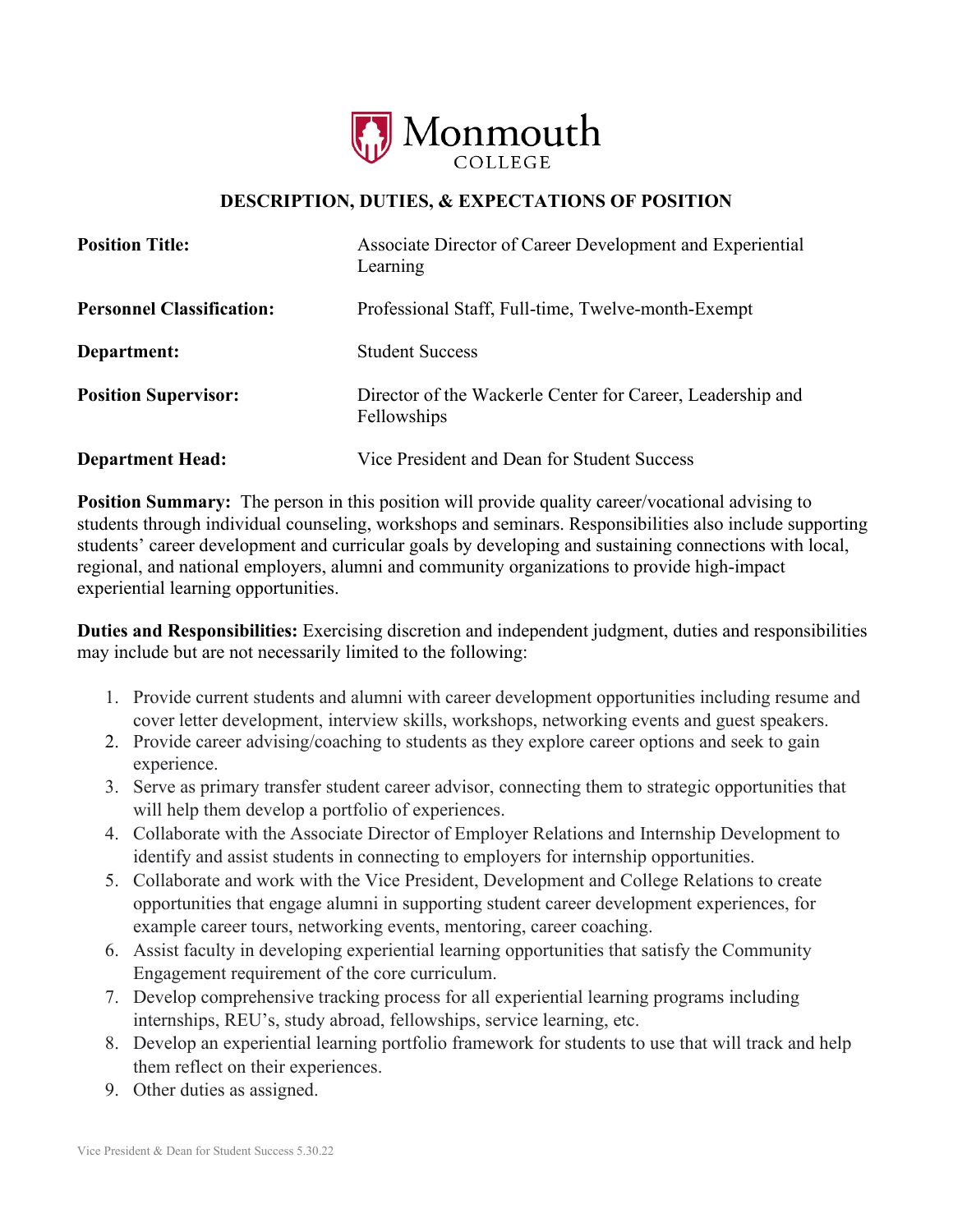

## **DESCRIPTION, DUTIES, & EXPECTATIONS OF POSITION**

| <b>Position Title:</b>           | Associate Director of Career Development and Experiential<br>Learning     |
|----------------------------------|---------------------------------------------------------------------------|
| <b>Personnel Classification:</b> | Professional Staff, Full-time, Twelve-month-Exempt                        |
| Department:                      | <b>Student Success</b>                                                    |
| <b>Position Supervisor:</b>      | Director of the Wackerle Center for Career, Leadership and<br>Fellowships |
| <b>Department Head:</b>          | Vice President and Dean for Student Success                               |

**Position Summary:** The person in this position will provide quality career/vocational advising to students through individual counseling, workshops and seminars. Responsibilities also include supporting students' career development and curricular goals by developing and sustaining connections with local, regional, and national employers, alumni and community organizations to provide high-impact experiential learning opportunities.

**Duties and Responsibilities:** Exercising discretion and independent judgment, duties and responsibilities may include but are not necessarily limited to the following:

- 1. Provide current students and alumni with career development opportunities including resume and cover letter development, interview skills, workshops, networking events and guest speakers.
- 2. Provide career advising/coaching to students as they explore career options and seek to gain experience.
- 3. Serve as primary transfer student career advisor, connecting them to strategic opportunities that will help them develop a portfolio of experiences.
- 4. Collaborate with the Associate Director of Employer Relations and Internship Development to identify and assist students in connecting to employers for internship opportunities.
- 5. Collaborate and work with the Vice President, Development and College Relations to create opportunities that engage alumni in supporting student career development experiences, for example career tours, networking events, mentoring, career coaching.
- 6. Assist faculty in developing experiential learning opportunities that satisfy the Community Engagement requirement of the core curriculum.
- 7. Develop comprehensive tracking process for all experiential learning programs including internships, REU's, study abroad, fellowships, service learning, etc.
- 8. Develop an experiential learning portfolio framework for students to use that will track and help them reflect on their experiences.
- 9. Other duties as assigned.